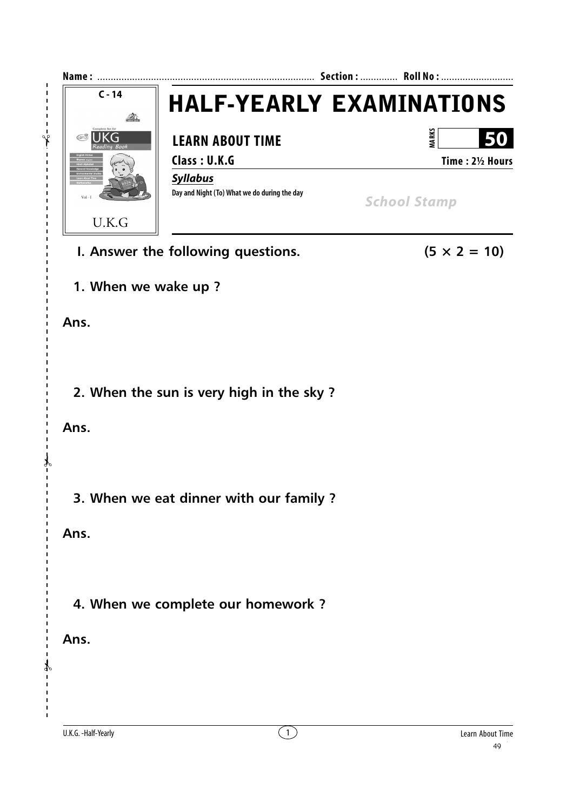

I. Answer the following questions.

 $(5 \times 2 = 10)$ 

1. When we wake up?

Ans.

 $\mathbf{i}$  $\mathbf I$  $\mathbf{I}$ 

 $-1$ 

 $\overline{1}$ 

2. When the sun is very high in the sky?

Ans.

3. When we eat dinner with our family ?

Ans.

4. When we complete our homework?

Ans.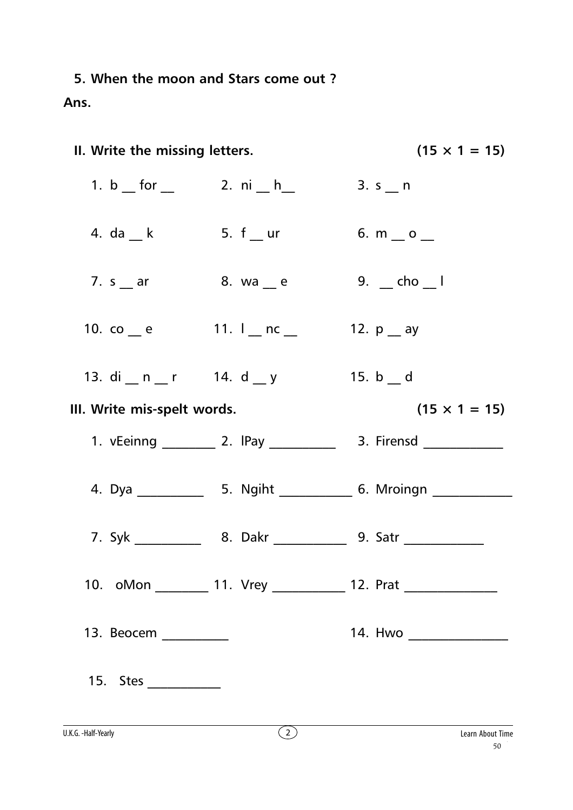5. When the moon and Stars come out? Ans.

| II. Write the missing letters.                      |                    | $(15 \times 1 = 15)$                                                             |
|-----------------------------------------------------|--------------------|----------------------------------------------------------------------------------|
| 1. b __ for $\_\_$                                  | 2. $ni_{n}h_{n}$   | 3. $s_{n}$ n                                                                     |
| 4. da $_k$                                          | 5. $f_{\rm{u}}$ ur | 6. $m_$ $o_$                                                                     |
| 7. $s$ $\overline{\phantom{0}}$ ar                  | 8. wa __ e         | $9.$ $\_$ cho $\_$ l                                                             |
| 10. co $_{\rm e}$ e 11. $_{\rm n}$ nc $_{\rm n}$    |                    | 12. $p_{\text{a}}$ ay                                                            |
| 13. di __ n __ r   14. d __ y                       |                    | 15. b d                                                                          |
| $(15 \times 1 = 15)$<br>III. Write mis-spelt words. |                    |                                                                                  |
|                                                     |                    | 1. vEeinng ___________ 2. IPay ________________ 3. Firensd _____________________ |
|                                                     |                    |                                                                                  |
|                                                     |                    |                                                                                  |
|                                                     |                    | 10. oMon __________ 11. Vrey _____________ 12. Prat ____________________________ |
| 13. Beocem __________                               |                    | 14. Hwo _______________                                                          |
| 15. Stes                                            |                    |                                                                                  |
|                                                     |                    |                                                                                  |